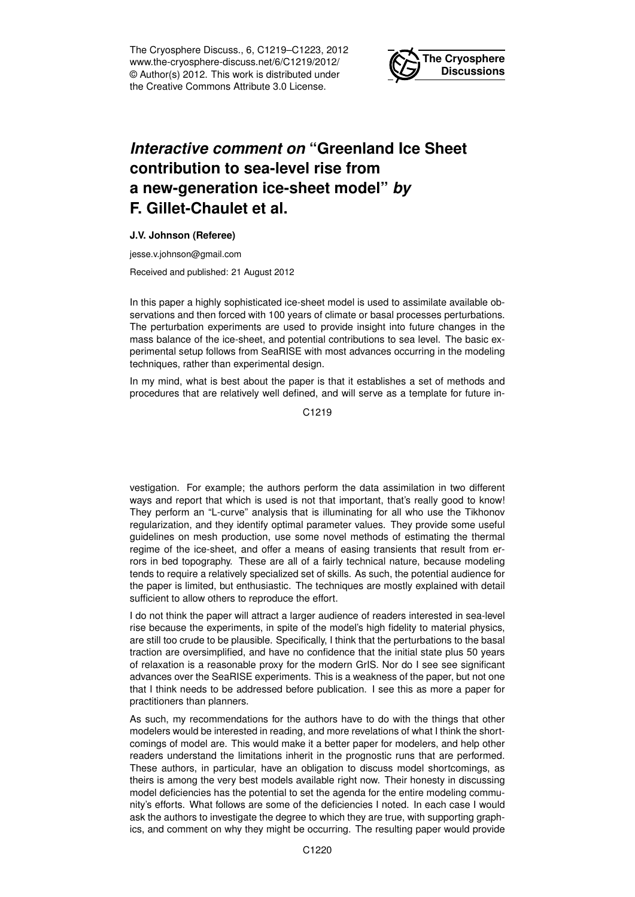The Cryosphere Discuss., 6, C1219–C1223, 2012 www.the-cryosphere-discuss.net/6/C1219/2012/ © Author(s) 2012. This work is distributed under the Creative Commons Attribute 3.0 License.



## *Interactive comment on* **"Greenland Ice Sheet contribution to sea-level rise from a new-generation ice-sheet model"** *by* **F. Gillet-Chaulet et al.**

## **J.V. Johnson (Referee)**

jesse.v.johnson@gmail.com

Received and published: 21 August 2012

In this paper a highly sophisticated ice-sheet model is used to assimilate available observations and then forced with 100 years of climate or basal processes perturbations. The perturbation experiments are used to provide insight into future changes in the mass balance of the ice-sheet, and potential contributions to sea level. The basic experimental setup follows from SeaRISE with most advances occurring in the modeling techniques, rather than experimental design.

In my mind, what is best about the paper is that it establishes a set of methods and procedures that are relatively well defined, and will serve as a template for future in-

C1219

vestigation. For example; the authors perform the data assimilation in two different ways and report that which is used is not that important, that's really good to know! They perform an "L-curve" analysis that is illuminating for all who use the Tikhonov regularization, and they identify optimal parameter values. They provide some useful guidelines on mesh production, use some novel methods of estimating the thermal regime of the ice-sheet, and offer a means of easing transients that result from errors in bed topography. These are all of a fairly technical nature, because modeling tends to require a relatively specialized set of skills. As such, the potential audience for the paper is limited, but enthusiastic. The techniques are mostly explained with detail sufficient to allow others to reproduce the effort.

I do not think the paper will attract a larger audience of readers interested in sea-level rise because the experiments, in spite of the model's high fidelity to material physics, are still too crude to be plausible. Specifically, I think that the perturbations to the basal traction are oversimplified, and have no confidence that the initial state plus 50 years of relaxation is a reasonable proxy for the modern GrIS. Nor do I see see significant advances over the SeaRISE experiments. This is a weakness of the paper, but not one that I think needs to be addressed before publication. I see this as more a paper for practitioners than planners.

As such, my recommendations for the authors have to do with the things that other modelers would be interested in reading, and more revelations of what I think the shortcomings of model are. This would make it a better paper for modelers, and help other readers understand the limitations inherit in the prognostic runs that are performed. These authors, in particular, have an obligation to discuss model shortcomings, as theirs is among the very best models available right now. Their honesty in discussing model deficiencies has the potential to set the agenda for the entire modeling community's efforts. What follows are some of the deficiencies I noted. In each case I would ask the authors to investigate the degree to which they are true, with supporting graphics, and comment on why they might be occurring. The resulting paper would provide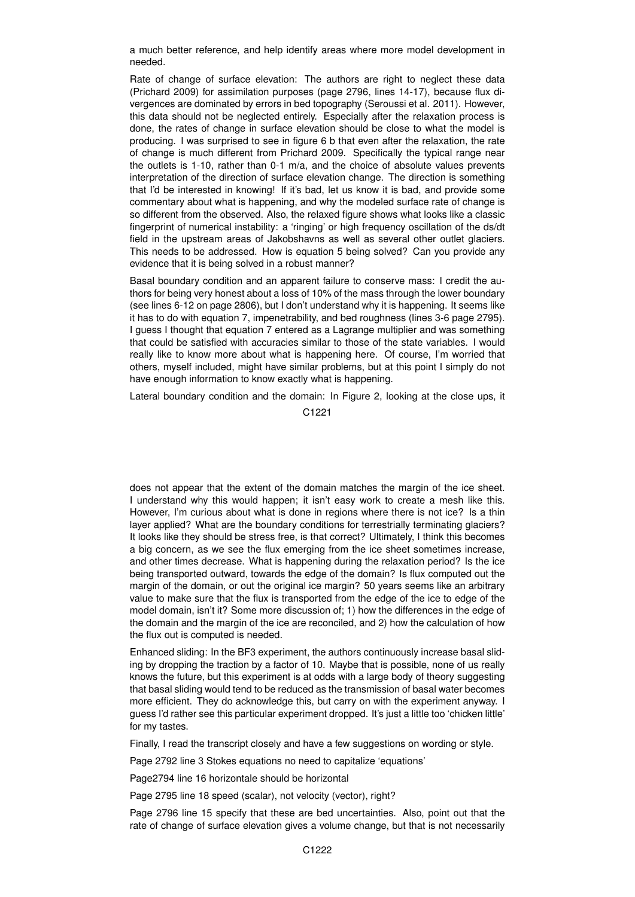a much better reference, and help identify areas where more model development in needed.

Rate of change of surface elevation: The authors are right to neglect these data (Prichard 2009) for assimilation purposes (page 2796, lines 14-17), because flux divergences are dominated by errors in bed topography (Seroussi et al. 2011). However, this data should not be neglected entirely. Especially after the relaxation process is done, the rates of change in surface elevation should be close to what the model is producing. I was surprised to see in figure 6 b that even after the relaxation, the rate of change is much different from Prichard 2009. Specifically the typical range near the outlets is 1-10, rather than 0-1 m/a, and the choice of absolute values prevents interpretation of the direction of surface elevation change. The direction is something that I'd be interested in knowing! If it's bad, let us know it is bad, and provide some commentary about what is happening, and why the modeled surface rate of change is so different from the observed. Also, the relaxed figure shows what looks like a classic fingerprint of numerical instability: a 'ringing' or high frequency oscillation of the ds/dt field in the upstream areas of Jakobshavns as well as several other outlet glaciers. This needs to be addressed. How is equation 5 being solved? Can you provide any evidence that it is being solved in a robust manner?

Basal boundary condition and an apparent failure to conserve mass: I credit the authors for being very honest about a loss of 10% of the mass through the lower boundary (see lines 6-12 on page 2806), but I don't understand why it is happening. It seems like it has to do with equation 7, impenetrability, and bed roughness (lines 3-6 page 2795). I guess I thought that equation 7 entered as a Lagrange multiplier and was something that could be satisfied with accuracies similar to those of the state variables. I would really like to know more about what is happening here. Of course, I'm worried that others, myself included, might have similar problems, but at this point I simply do not have enough information to know exactly what is happening.

Lateral boundary condition and the domain: In Figure 2, looking at the close ups, it

C1221

does not appear that the extent of the domain matches the margin of the ice sheet. I understand why this would happen; it isn't easy work to create a mesh like this. However, I'm curious about what is done in regions where there is not ice? Is a thin layer applied? What are the boundary conditions for terrestrially terminating glaciers? It looks like they should be stress free, is that correct? Ultimately, I think this becomes a big concern, as we see the flux emerging from the ice sheet sometimes increase, and other times decrease. What is happening during the relaxation period? Is the ice being transported outward, towards the edge of the domain? Is flux computed out the margin of the domain, or out the original ice margin? 50 years seems like an arbitrary value to make sure that the flux is transported from the edge of the ice to edge of the model domain, isn't it? Some more discussion of; 1) how the differences in the edge of the domain and the margin of the ice are reconciled, and 2) how the calculation of how the flux out is computed is needed.

Enhanced sliding: In the BF3 experiment, the authors continuously increase basal sliding by dropping the traction by a factor of 10. Maybe that is possible, none of us really knows the future, but this experiment is at odds with a large body of theory suggesting that basal sliding would tend to be reduced as the transmission of basal water becomes more efficient. They do acknowledge this, but carry on with the experiment anyway. I guess I'd rather see this particular experiment dropped. It's just a little too 'chicken little' for my tastes.

Finally, I read the transcript closely and have a few suggestions on wording or style.

Page 2792 line 3 Stokes equations no need to capitalize 'equations'

Page2794 line 16 horizontale should be horizontal

Page 2795 line 18 speed (scalar), not velocity (vector), right?

Page 2796 line 15 specify that these are bed uncertainties. Also, point out that the rate of change of surface elevation gives a volume change, but that is not necessarily